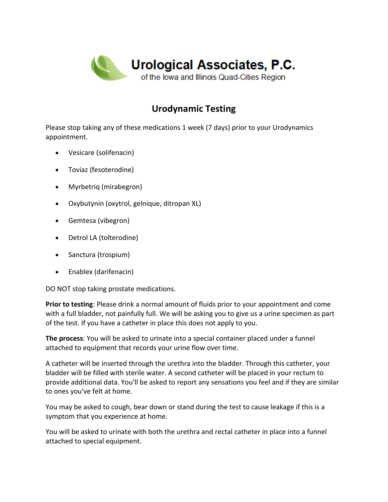

## **Urodynamic Testing**

Please stop taking any of these medications 1 week (7 days) prior to your Urodynamics appointment.

- Vesicare (solifenacin)
- Toviaz (fesoterodine)
- Myrbetriq (mirabegron)
- Oxybutynin (oxytrol, gelnique, ditropan XL)
- Gemtesa (vibegron)
- Detrol LA (tolterodine)
- Sanctura (trospium)
- Enablex (darifenacin)

DO NOT stop taking prostate medications.

**Prior to testing**: Please drink a normal amount of fluids prior to your appointment and come with a full bladder, not painfully full. We will be asking you to give us a urine specimen as part of the test. If you have a catheter in place this does not apply to you.

**The process**: You will be asked to urinate into a special container placed under a funnel attached to equipment that records your urine flow over time.

A catheter will be inserted through the urethra into the bladder. Through this catheter, your bladder will be filled with sterile water. A second catheter will be placed in your rectum to provide additional data. You'll be asked to report any sensations you feel and if they are similar to ones you've felt at home.

You may be asked to cough, bear down or stand during the test to cause leakage if this is a symptom that you experience at home.

You will be asked to urinate with both the urethra and rectal catheter in place into a funnel attached to special equipment.